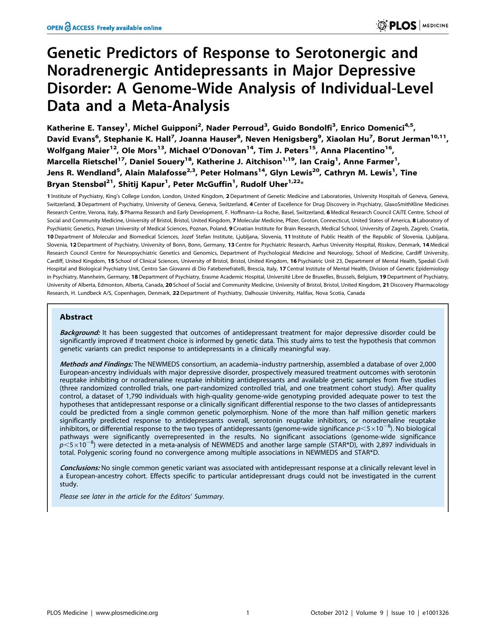# Genetic Predictors of Response to Serotonergic and Noradrenergic Antidepressants in Major Depressive Disorder: A Genome-Wide Analysis of Individual-Level Data and a Meta-Analysis

Katherine E. Tansey<sup>1</sup>, Michel Guipponi<sup>2</sup>, Nader Perroud<sup>3</sup>, Guido Bondolfi<sup>3</sup>, Enrico Domenici<sup>4,5</sup>, David Evans<sup>6</sup>, Stephanie K. Hall<sup>7</sup>, Joanna Hauser<sup>8</sup>, Neven Henigsberg<sup>9</sup>, Xiaolan Hu<sup>7</sup>, Borut Jerman<sup>10,11</sup>, Wolfgang Maier<sup>12</sup>, Ole Mors<sup>13</sup>, Michael O'Donovan<sup>14</sup>, Tim J. Peters<sup>15</sup>, Anna Placentino<sup>16</sup>, Marcella Rietschel<sup>17</sup>, Daniel Souery<sup>18</sup>, Katherine J. Aitchison<sup>1,19</sup>, Ian Craig<sup>1</sup>, Anne Farmer<sup>1</sup>, Jens R. Wendland<sup>5</sup>, Alain Malafosse<sup>2,3</sup>, Peter Holmans<sup>14</sup>, Glyn Lewis<sup>20</sup>, Cathryn M. Lewis<sup>1</sup>, Tine Bryan Stensbøl<sup>21</sup>, Shitij Kapur<sup>1</sup>, Peter McGuffin<sup>1</sup>, Rudolf Uher<sup>1,22</sup>\*

1 Institute of Psychiatry, King's College London, London, United Kingdom, 2 Department of Genetic Medicine and Laboratories, University Hospitals of Geneva, Geneva, Switzerland, 3 Department of Psychiatry, University of Geneva, Geneva, Switzerland, 4 Center of Excellence for Drug Discovery in Psychiatry, GlaxoSmithKline Medicines Research Centre, Verona, Italy, 5 Pharma Research and Early Development, F. Hoffmann-La Roche, Basel, Switzerland, 6 Medical Research Council CAiTE Centre, School of Social and Community Medicine, University of Bristol, Bristol, United Kingdom, 7 Molecular Medicine, Pfizer, Groton, Connecticut, United States of America, 8 Laboratory of Psychiatric Genetics, Poznan University of Medical Sciences, Poznan, Poland, 9 Croatian Institute for Brain Research, Medical School, University of Zagreb, Zagreb, Croatia, 10 Department of Molecular and Biomedical Sciences, Jozef Stefan Institute, Ljubljana, Slovenia, 11 Institute of Public Health of the Republic of Slovenia, Ljubljana, Slovenia, 12 Department of Psychiatry, University of Bonn, Bonn, Germany, 13 Centre for Psychiatric Research, Aarhus University Hospital, Risskov, Denmark, 14 Medical Research Council Centre for Neuropsychiatric Genetics and Genomics, Department of Psychological Medicine and Neurology, School of Medicine, Cardiff University, Cardiff, United Kingdom, 15 School of Clinical Sciences, University of Bristol, Bristol, United Kingdom, 16 Psychiatric Unit 23, Department of Mental Health, Spedali Civili Hospital and Biological Psychiatry Unit, Centro San Giovanni di Dio Fatebenefratelli, Brescia, Italy, 17 Central Institute of Mental Health, Division of Genetic Epidemiology in Psychiatry, Mannheim, Germany, 18 Department of Psychiatry, Erasme Academic Hospital, Université Libre de Bruxelles, Brussels, Belgium, 19 Department of Psychiatry, University of Alberta, Edmonton, Alberta, Canada, 20 School of Social and Community Medicine, University of Bristol, Bristol, United Kingdom, 21 Discovery Pharmacology Research, H. Lundbeck A/S, Copenhagen, Denmark, 22 Department of Psychiatry, Dalhousie University, Halifax, Nova Scotia, Canada

# Abstract

Background: It has been suggested that outcomes of antidepressant treatment for major depressive disorder could be significantly improved if treatment choice is informed by genetic data. This study aims to test the hypothesis that common genetic variants can predict response to antidepressants in a clinically meaningful way.

Methods and Findings: The NEWMEDS consortium, an academia-industry partnership, assembled a database of over 2,000 European-ancestry individuals with major depressive disorder, prospectively measured treatment outcomes with serotonin reuptake inhibiting or noradrenaline reuptake inhibiting antidepressants and available genetic samples from five studies (three randomized controlled trials, one part-randomized controlled trial, and one treatment cohort study). After quality control, a dataset of 1,790 individuals with high-quality genome-wide genotyping provided adequate power to test the hypotheses that antidepressant response or a clinically significant differential response to the two classes of antidepressants could be predicted from a single common genetic polymorphism. None of the more than half million genetic markers significantly predicted response to antidepressants overall, serotonin reuptake inhibitors, or noradrenaline reuptake inhibitors, or differential response to the two types of antidepressants (genome-wide significance  $p<$  5 $\times$ 10<sup>-8</sup>). No biological pathways were significantly overrepresented in the results. No significant associations (genome-wide significance  $p$ <5 $\times10^{-8}$ ) were detected in a meta-analysis of NEWMEDS and another large sample (STAR\*D), with 2,897 individuals in total. Polygenic scoring found no convergence among multiple associations in NEWMEDS and STAR\*D.

Conclusions: No single common genetic variant was associated with antidepressant response at a clinically relevant level in a European-ancestry cohort. Effects specific to particular antidepressant drugs could not be investigated in the current study.

Please see later in the article for the Editors' Summary.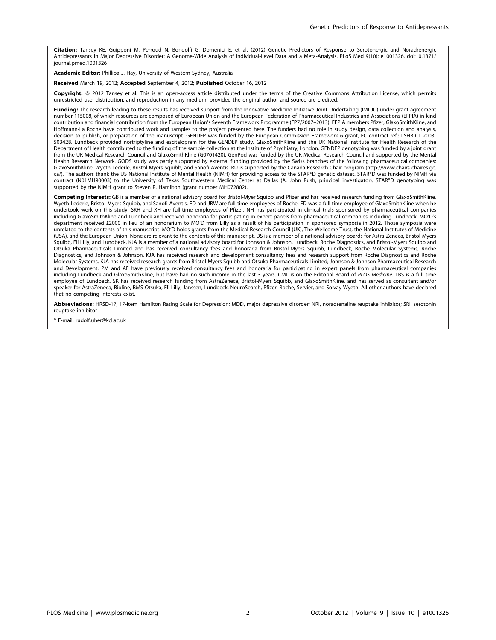Citation: Tansey KE, Guipponi M, Perroud N, Bondolfi G, Domenici E, et al. (2012) Genetic Predictors of Response to Serotonergic and Noradrenergic Antidepressants in Major Depressive Disorder: A Genome-Wide Analysis of Individual-Level Data and a Meta-Analysis. PLoS Med 9(10): e1001326. doi:10.1371/ journal.pmed.1001326

Academic Editor: Phillipa J. Hay, University of Western Sydney, Australia

Received March 19, 2012; Accepted September 4, 2012; Published October 16, 2012

Copyright: © 2012 Tansey et al. This is an open-access article distributed under the terms of the Creative Commons Attribution License, which permits unrestricted use, distribution, and reproduction in any medium, provided the original author and source are credited.

Funding: The research leading to these results has received support from the Innovative Medicine Initiative Joint Undertaking (IMI-JU) under grant agreement number 115008, of which resources are composed of European Union and the European Federation of Pharmaceutical Industries and Associations (EFPIA) in-kind contribution and financial contribution from the European Union's Seventh Framework Programme (FP7/2007–2013). EFPIA members Pfizer, GlaxoSmithKline, and Hoffmann-La Roche have contributed work and samples to the project presented here. The funders had no role in study design, data collection and analysis, decision to publish, or preparation of the manuscript. GENDEP was funded by the European Commission Framework 6 grant, EC contract ref.: LSHB-CT-2003- 503428. Lundbeck provided nortriptyline and escitalopram for the GENDEP study. GlaxoSmithKline and the UK National Institute for Health Research of the Department of Health contributed to the funding of the sample collection at the Institute of Psychiatry, London. GENDEP genotyping was funded by a joint grant from the UK Medical Research Council and GlaxoSmithKline (G0701420). GenPod was funded by the UK Medical Research Council and supported by the Mental Health Research Network. GODS study was partly supported by external funding provided by the Swiss branches of the following pharmaceutical companies: GlaxoSmithKline, Wyeth-Lederle, Bristol-Myers Squibb, and Sanofi Aventis. RU is supported by the Canada Research Chair program (http://www.chairs-chaires.gc. ca/). The authors thank the US National Institute of Mental Health (NIMH) for providing access to the STAR\*D genetic dataset. STAR\*D was funded by NIMH via contract (N01MH90003) to the University of Texas Southwestern Medical Center at Dallas (A. John Rush, principal investigator). STAR\*D genotyping was supported by the NIMH grant to Steven P. Hamilton (grant number MH072802).

Competing Interests: GB is a member of a national advisory board for Bristol-Myer Squibb and Pfizer and has received research funding from GlaxoSmithKline, Wyeth-Lederle, Bristol-Myers-Squibb, and Sanofi Aventis. ED and JRW are full-time employees of Roche. ED was a full time employee of GlaxoSmithKline when he undertook work on this study. SKH and XH are full-time employees of Pfizer. NH has participated in clinical trials sponsored by pharmaceutical companies including GlaxoSmithKline and Lundbeck and received honoraria for participating in expert panels from pharmaceutical companies including Lundbeck. MO'D's department received £2000 in lieu of an honorarium to MO'D from Lilly as a result of his participation in sponsored symposia in 2012. Those symposia were unrelated to the contents of this manuscript. MO'D holds grants from the Medical Research Council (UK), The Wellcome Trust, the National Institutes of Medicine (USA), and the European Union. None are relevant to the contents of this manuscript. DS is a member of a national advisory boards for Astra-Zeneca, Bristol-Myers Squibb, Eli Lilly, and Lundbeck. KJA is a member of a national advisory board for Johnson & Johnson, Lundbeck, Roche Diagnostics, and Bristol-Myers Squibb and Otsuka Pharmaceuticals Limited and has received consultancy fees and honoraria from Bristol-Myers Squibb, Lundbeck, Roche Molecular Systems, Roche Diagnostics, and Johnson & Johnson. KJA has received research and development consultancy fees and research support from Roche Diagnostics and Roche Molecular Systems. KJA has received research grants from Bristol-Myers Squibb and Otsuka Pharmaceuticals Limited; Johnson & Johnson Pharmaceutical Research and Development. PM and AF have previously received consultancy fees and honoraria for participating in expert panels from pharmaceutical companies including Lundbeck and GlaxoSmithKline, but have had no such income in the last 3 years. CML is on the Editorial Board of PLOS Medicine. TBS is a full time employee of Lundbeck. SK has received research funding from AstraZeneca, Bristol-Myers Squibb, and GlaxoSmithKline, and has served as consultant and/or speaker for AstraZeneca, Bioline, BMS-Otsuka, Eli Lilly, Janssen, Lundbeck, NeuroSearch, Pfizer, Roche, Servier, and Solvay Wyeth. All other authors have declared that no competing interests exist.

Abbreviations: HRSD-17, 17-item Hamilton Rating Scale for Depression; MDD, major depressive disorder; NRI, noradrenaline reuptake inhibitor; SRI, serotonin reuptake inhibitor

\* E-mail: rudolf.uher@kcl.ac.uk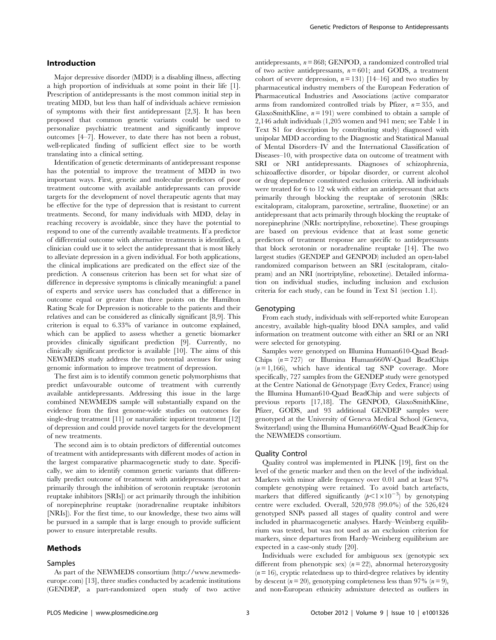#### Introduction

Major depressive disorder (MDD) is a disabling illness, affecting a high proportion of individuals at some point in their life [1]. Prescription of antidepressants is the most common initial step in treating MDD, but less than half of individuals achieve remission of symptoms with their first antidepressant [2,3]. It has been proposed that common genetic variants could be used to personalize psychiatric treatment and significantly improve outcomes [4–7]. However, to date there has not been a robust, well-replicated finding of sufficient effect size to be worth translating into a clinical setting.

Identification of genetic determinants of antidepressant response has the potential to improve the treatment of MDD in two important ways. First, genetic and molecular predictors of poor treatment outcome with available antidepressants can provide targets for the development of novel therapeutic agents that may be effective for the type of depression that is resistant to current treatments. Second, for many individuals with MDD, delay in reaching recovery is avoidable, since they have the potential to respond to one of the currently available treatments. If a predictor of differential outcome with alternative treatments is identified, a clinician could use it to select the antidepressant that is most likely to alleviate depression in a given individual. For both applications, the clinical implications are predicated on the effect size of the prediction. A consensus criterion has been set for what size of difference in depressive symptoms is clinically meaningful: a panel of experts and service users has concluded that a difference in outcome equal or greater than three points on the Hamilton Rating Scale for Depression is noticeable to the patients and their relatives and can be considered as clinically significant [8,9]. This criterion is equal to 6.33% of variance in outcome explained, which can be applied to assess whether a genetic biomarker provides clinically significant prediction [9]. Currently, no clinically significant predictor is available [10]. The aims of this NEWMEDS study address the two potential avenues for using genomic information to improve treatment of depression.

The first aim is to identify common genetic polymorphisms that predict unfavourable outcome of treatment with currently available antidepressants. Addressing this issue in the large combined NEWMEDS sample will substantially expand on the evidence from the first genome-wide studies on outcomes for single-drug treatment [11] or naturalistic inpatient treatment [12] of depression and could provide novel targets for the development of new treatments.

The second aim is to obtain predictors of differential outcomes of treatment with antidepressants with different modes of action in the largest comparative pharmacogenetic study to date. Specifically, we aim to identify common genetic variants that differentially predict outcome of treatment with antidepressants that act primarily through the inhibition of serotonin reuptake (serotonin reuptake inhibitors [SRIs]) or act primarily through the inhibition of norepinephrine reuptake (noradrenaline reuptake inhibitors [NRIs]). For the first time, to our knowledge, these two aims will be pursued in a sample that is large enough to provide sufficient power to ensure interpretable results.

#### Methods

#### Samples

antidepressants,  $n = 868$ ; GENPOD, a randomized controlled trial of two active antidepressants,  $n = 601$ ; and GODS, a treatment cohort of severe depression,  $n = 131$ ) [14–16] and two studies by pharmaceutical industry members of the European Federation of Pharmaceutical Industries and Associations (active comparator arms from randomized controlled trials by Pfizer,  $n = 355$ , and GlaxoSmithKline,  $n = 191$ ) were combined to obtain a sample of 2,146 adult individuals (1,205 women and 941 men; see Table 1 in Text S1 for description by contributing study) diagnosed with unipolar MDD according to the Diagnostic and Statistical Manual of Mental Disorders–IV and the International Classification of Diseases–10, with prospective data on outcome of treatment with SRI or NRI antidepressants. Diagnoses of schizophrenia, schizoaffective disorder, or bipolar disorder, or current alcohol or drug dependence constituted exclusion criteria. All individuals were treated for 6 to 12 wk with either an antidepressant that acts primarily through blocking the reuptake of serotonin (SRIs: escitalopram, citalopram, paroxetine, sertraline, fluoxetine) or an antidepressant that acts primarily through blocking the reuptake of norepinephrine (NRIs: nortriptyline, reboxetine). These groupings are based on previous evidence that at least some genetic predictors of treatment response are specific to antidepressants that block serotonin or noradrenaline reuptake [14]. The two largest studies (GENDEP and GENPOD) included an open-label randomized comparison between an SRI (escitalopram, citalopram) and an NRI (nortriptyline, reboxetine). Detailed information on individual studies, including inclusion and exclusion criteria for each study, can be found in Text S1 (section 1.1).

#### Genotyping

From each study, individuals with self-reported white European ancestry, available high-quality blood DNA samples, and valid information on treatment outcome with either an SRI or an NRI were selected for genotyping.

Samples were genotyped on Illumina Human610-Quad Bead-Chips  $(n = 727)$  or Illumina Human660W-Quad BeadChips  $(n=1,166)$ , which have identical tag SNP coverage. More specifically, 727 samples from the GENDEP study were genotyped at the Centre National de Génotypage (Evry Cedex, France) using the Illumina Human610-Quad BeadChip and were subjects of previous reports [17,18]. The GENPOD, GlaxoSmithKline, Pfizer, GODS, and 93 additional GENDEP samples were genotyped at the University of Geneva Medical School (Geneva, Switzerland) using the Illumina Human660W-Quad BeadChip for the NEWMEDS consortium.

#### Quality Control

Quality control was implemented in PLINK [19], first on the level of the genetic marker and then on the level of the individual. Markers with minor allele frequency over 0.01 and at least 97% complete genotyping were retained. To avoid batch artefacts, markers that differed significantly  $(p<1\times10^{-3})$  by genotyping centre were excluded. Overall, 520,978 (99.0%) of the 526,424 genotyped SNPs passed all stages of quality control and were included in pharmacogenetic analyses. Hardy–Weinberg equilibrium was tested, but was not used as an exclusion criterion for markers, since departures from Hardy–Weinberg equilibrium are expected in a case-only study [20].

Individuals were excluded for ambiguous sex (genotypic sex different from phenotypic sex)  $(n=22)$ , abnormal heterozygosity  $(n = 16)$ , cryptic relatedness up to third-degree relatives by identity by descent ( $n = 20$ ), genotyping completeness less than 97% ( $n = 9$ ), and non-European ethnicity admixture detected as outliers in

As part of the NEWMEDS consortium (http://www.newmedseurope.com) [13], three studies conducted by academic institutions (GENDEP, a part-randomized open study of two active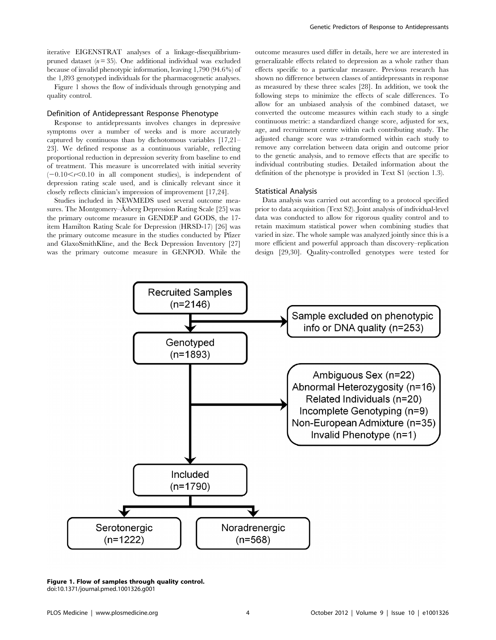iterative EIGENSTRAT analyses of a linkage-disequilibriumpruned dataset  $(n=35)$ . One additional individual was excluded because of invalid phenotypic information, leaving 1,790 (94.6%) of the 1,893 genotyped individuals for the pharmacogenetic analyses.

Figure 1 shows the flow of individuals through genotyping and quality control.

## Definition of Antidepressant Response Phenotype

Response to antidepressants involves changes in depressive symptoms over a number of weeks and is more accurately captured by continuous than by dichotomous variables [17,21– 23]. We defined response as a continuous variable, reflecting proportional reduction in depression severity from baseline to end of treatment. This measure is uncorrelated with initial severity  $(-0.10 \le r \le 0.10$  in all component studies), is independent of depression rating scale used, and is clinically relevant since it closely reflects clinician's impression of improvement [17,24].

Studies included in NEWMEDS used several outcome measures. The Montgomery–Asberg Depression Rating Scale [25] was the primary outcome measure in GENDEP and GODS, the 17 item Hamilton Rating Scale for Depression (HRSD-17) [26] was the primary outcome measure in the studies conducted by Pfizer and GlaxoSmithKline, and the Beck Depression Inventory [27] was the primary outcome measure in GENPOD. While the outcome measures used differ in details, here we are interested in generalizable effects related to depression as a whole rather than effects specific to a particular measure. Previous research has shown no difference between classes of antidepressants in response as measured by these three scales [28]. In addition, we took the following steps to minimize the effects of scale differences. To allow for an unbiased analysis of the combined dataset, we converted the outcome measures within each study to a single continuous metric: a standardized change score, adjusted for sex, age, and recruitment centre within each contributing study. The adjusted change score was z-transformed within each study to remove any correlation between data origin and outcome prior to the genetic analysis, and to remove effects that are specific to individual contributing studies. Detailed information about the definition of the phenotype is provided in Text S1 (section 1.3).

#### Statistical Analysis

Data analysis was carried out according to a protocol specified prior to data acquisition (Text S2). Joint analysis of individual-level data was conducted to allow for rigorous quality control and to retain maximum statistical power when combining studies that varied in size. The whole sample was analyzed jointly since this is a more efficient and powerful approach than discovery–replication design [29,30]. Quality-controlled genotypes were tested for



Figure 1. Flow of samples through quality control. doi:10.1371/journal.pmed.1001326.g001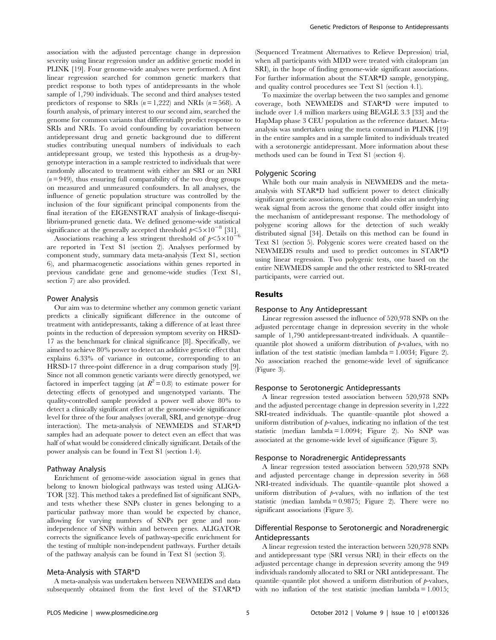association with the adjusted percentage change in depression severity using linear regression under an additive genetic model in PLINK [19]. Four genome-wide analyses were performed. A first linear regression searched for common genetic markers that predict response to both types of antidepressants in the whole sample of 1,790 individuals. The second and third analyses tested predictors of response to SRIs  $(n = 1,222)$  and NRIs  $(n = 568)$ . A fourth analysis, of primary interest to our second aim, searched the genome for common variants that differentially predict response to SRIs and NRIs. To avoid confounding by covariation between antidepressant drug and genetic background due to different studies contributing unequal numbers of individuals to each antidepressant group, we tested this hypothesis as a drug-bygenotype interaction in a sample restricted to individuals that were randomly allocated to treatment with either an SRI or an NRI  $(n = 949)$ , thus ensuring full comparability of the two drug groups on measured and unmeasured confounders. In all analyses, the influence of genetic population structure was controlled by the inclusion of the four significant principal components from the final iteration of the EIGENSTRAT analysis of linkage-disequilibrium-pruned genetic data. We defined genome-wide statistical significance at the generally accepted threshold  $p \leq 5 \times 10^{-8}$  [31].

Associations reaching a less stringent threshold of  $p < 5 \times 10^{-6}$ are reported in Text S1 (section 2). Analyses performed by component study, summary data meta-analysis (Text S1, section 6), and pharmacogenetic associations within genes reported in previous candidate gene and genome-wide studies (Text S1, section 7) are also provided.

#### Power Analysis

Our aim was to determine whether any common genetic variant predicts a clinically significant difference in the outcome of treatment with antidepressants, taking a difference of at least three points in the reduction of depression symptom severity on HRSD-17 as the benchmark for clinical significance [8]. Specifically, we aimed to achieve 80% power to detect an additive genetic effect that explains 6.33% of variance in outcome, corresponding to an HRSD-17 three-point difference in a drug comparison study [9]. Since not all common genetic variants were directly genotyped, we factored in imperfect tagging (at  $R^2 = 0.8$ ) to estimate power for detecting effects of genotyped and ungenotyped variants. The quality-controlled sample provided a power well above 80% to detect a clinically significant effect at the genome-wide significance level for three of the four analyses (overall, SRI, and genotype–drug interaction). The meta-analysis of NEWMEDS and STAR\*D samples had an adequate power to detect even an effect that was half of what would be considered clinically significant. Details of the power analysis can be found in Text S1 (section 1.4).

## Pathway Analysis

Enrichment of genome-wide association signal in genes that belong to known biological pathways was tested using ALIGA-TOR [32]. This method takes a predefined list of significant SNPs, and tests whether these SNPs cluster in genes belonging to a particular pathway more than would be expected by chance, allowing for varying numbers of SNPs per gene and nonindependence of SNPs within and between genes. ALIGATOR corrects the significance levels of pathway-specific enrichment for the testing of multiple non-independent pathways. Further details of the pathway analysis can be found in Text S1 (section 3).

#### Meta-Analysis with STAR\*D

A meta-analysis was undertaken between NEWMEDS and data subsequently obtained from the first level of the STAR\*D (Sequenced Treatment Alternatives to Relieve Depression) trial, when all participants with MDD were treated with citalopram (an SRI), in the hope of finding genome-wide significant associations. For further information about the STAR\*D sample, genotyping, and quality control procedures see Text S1 (section 4.1).

To maximize the overlap between the two samples and genome coverage, both NEWMEDS and STAR\*D were imputed to include over 1.4 million markers using BEAGLE 3.3 [33] and the HapMap phase 3 CEU population as the reference dataset. Metaanalysis was undertaken using the meta command in PLINK [19] in the entire samples and in a sample limited to individuals treated with a serotonergic antidepressant. More information about these methods used can be found in Text S1 (section 4).

#### Polygenic Scoring

While both our main analysis in NEWMEDS and the metaanalysis with STAR\*D had sufficient power to detect clinically significant genetic associations, there could also exist an underlying weak signal from across the genome that could offer insight into the mechanism of antidepressant response. The methodology of polygene scoring allows for the detection of such weakly distributed signal [34]. Details on this method can be found in Text S1 (section 5). Polygenic scores were created based on the NEWMEDS results and used to predict outcomes in STAR\*D using linear regression. Two polygenic tests, one based on the entire NEWMEDS sample and the other restricted to SRI-treated participants, were carried out.

## Results

## Response to Any Antidepressant

Linear regression assessed the influence of 520,978 SNPs on the adjusted percentage change in depression severity in the whole sample of 1,790 antidepressant-treated individuals. A quantile– quantile plot showed a uniform distribution of  $p$ -values, with no inflation of the test statistic (median lambda = 1.0034; Figure 2). No association reached the genome-wide level of significance (Figure 3).

## Response to Serotonergic Antidepressants

A linear regression tested association between 520,978 SNPs and the adjusted percentage change in depression severity in 1,222 SRI-treated individuals. The quantile–quantile plot showed a uniform distribution of  $\nu$ -values, indicating no inflation of the test statistic (median lambda = 1.0094; Figure 2). No SNP was associated at the genome-wide level of significance (Figure 3).

#### Response to Noradrenergic Antidepressants

A linear regression tested association between 520,978 SNPs and adjusted percentage change in depression severity in 568 NRI-treated individuals. The quantile–quantile plot showed a uniform distribution of  $p$ -values, with no inflation of the test statistic (median lambda =  $0.9875$ ; Figure 2). There were no significant associations (Figure 3).

## Differential Response to Serotonergic and Noradrenergic Antidepressants

A linear regression tested the interaction between 520,978 SNPs and antidepressant type (SRI versus NRI) in their effects on the adjusted percentage change in depression severity among the 949 individuals randomly allocated to SRI or NRI antidepressant. The quantile–quantile plot showed a uniform distribution of  $\not$ -values, with no inflation of the test statistic (median lambda =  $1.0015$ ;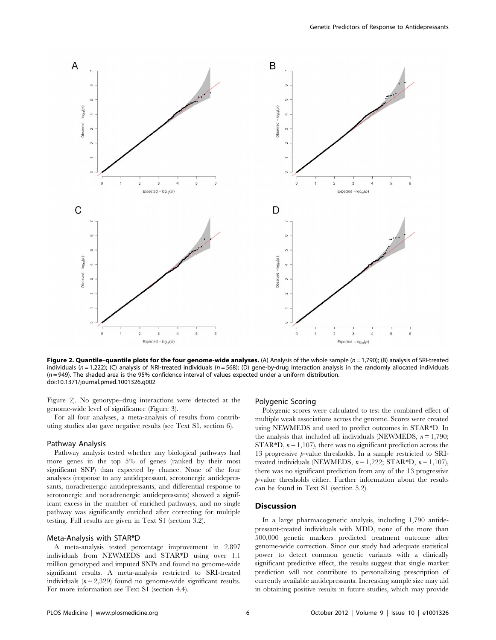

Figure 2. Quantile-quantile plots for the four genome-wide analyses. (A) Analysis of the whole sample  $(n = 1,790)$ ; (B) analysis of SRI-treated individuals ( $n = 1,222$ ); (C) analysis of NRI-treated individuals ( $n = 568$ ); (D) gene-by-drug interaction analysis in the randomly allocated individuals  $(n=949)$ . The shaded area is the 95% confidence interval of values expected under a uniform distribution. doi:10.1371/journal.pmed.1001326.g002

Figure 2). No genotype–drug interactions were detected at the genome-wide level of significance (Figure 3).

For all four analyses, a meta-analysis of results from contributing studies also gave negative results (see Text S1, section 6).

#### Pathway Analysis

Pathway analysis tested whether any biological pathways had more genes in the top 5% of genes (ranked by their most significant SNP) than expected by chance. None of the four analyses (response to any antidepressant, serotonergic antidepressants, noradrenergic antidepressants, and differential response to serotonergic and noradrenergic antidepressants) showed a significant excess in the number of enriched pathways, and no single pathway was significantly enriched after correcting for multiple testing. Full results are given in Text S1 (section 3.2).

## Meta-Analysis with STAR\*D

A meta-analysis tested percentage improvement in 2,897 individuals from NEWMEDS and STAR\*D using over 1.1 million genotyped and imputed SNPs and found no genome-wide significant results. A meta-analysis restricted to SRI-treated individuals  $(n = 2,329)$  found no genome-wide significant results. For more information see Text S1 (section 4.4).

## Polygenic Scoring

Polygenic scores were calculated to test the combined effect of multiple weak associations across the genome. Scores were created using NEWMEDS and used to predict outcomes in STAR\*D. In the analysis that included all individuals (NEWMEDS,  $n = 1,790$ ; STAR $*$ D,  $n = 1,107$ , there was no significant prediction across the 13 progressive  $p$ -value thresholds. In a sample restricted to SRItreated individuals (NEWMEDS,  $n = 1,222$ ; STAR\*D,  $n = 1,107$ ), there was no significant prediction from any of the 13 progressive p-value thresholds either. Further information about the results can be found in Text S1 (section 5.2).

## Discussion

In a large pharmacogenetic analysis, including 1,790 antidepressant-treated individuals with MDD, none of the more than 500,000 genetic markers predicted treatment outcome after genome-wide correction. Since our study had adequate statistical power to detect common genetic variants with a clinically significant predictive effect, the results suggest that single marker prediction will not contribute to personalizing prescription of currently available antidepressants. Increasing sample size may aid in obtaining positive results in future studies, which may provide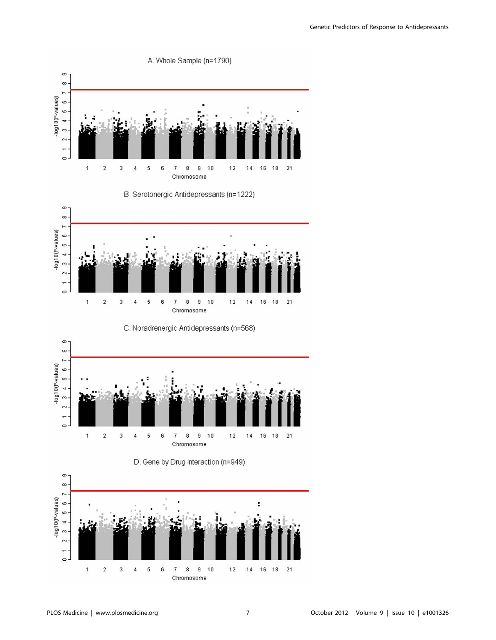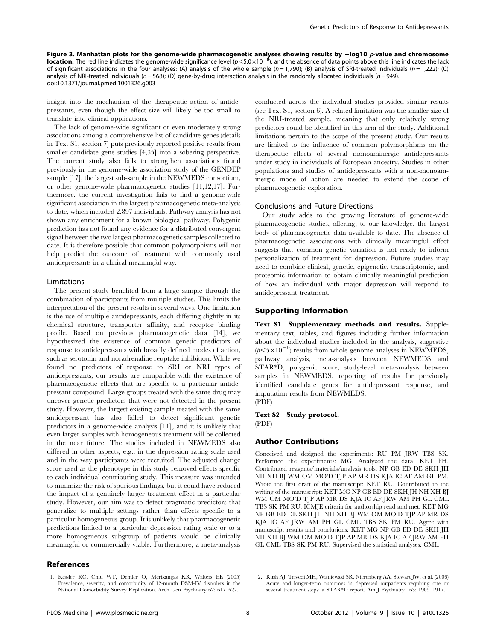Figure 3. Manhattan plots for the genome-wide pharmacogenetic analyses showing results by  $-\log 10$  p-value and chromosome **location.** The red line indicates the genome-wide significance level  $(p<5.0\times10^{-5})$ , and the absence of data points above this line indicates the lack of significant associations in the four analyses: (A) analysis of the whole sample  $(n=1.790)$ ; (B) analysis of SRI-treated individuals  $(n=1.222)$ ; (C) analysis of NRI-treated individuals ( $n = 568$ ); (D) gene-by-drug interaction analysis in the randomly allocated individuals ( $n = 949$ ). doi:10.1371/journal.pmed.1001326.g003

insight into the mechanism of the therapeutic action of antidepressants, even though the effect size will likely be too small to translate into clinical applications.

The lack of genome-wide significant or even moderately strong associations among a comprehensive list of candidate genes (details in Text S1, section 7) puts previously reported positive results from smaller candidate gene studies [4,35] into a sobering perspective. The current study also fails to strengthen associations found previously in the genome-wide association study of the GENDEP sample [17], the largest sub-sample in the NEWMEDS consortium, or other genome-wide pharmacogenetic studies [11,12,17]. Furthermore, the current investigation fails to find a genome-wide significant association in the largest pharmacogenetic meta-analysis to date, which included 2,897 individuals. Pathway analysis has not shown any enrichment for a known biological pathway. Polygenic prediction has not found any evidence for a distributed convergent signal between the two largest pharmacogenetic samples collected to date. It is therefore possible that common polymorphisms will not help predict the outcome of treatment with commonly used antidepressants in a clinical meaningful way.

## Limitations

The present study benefited from a large sample through the combination of participants from multiple studies. This limits the interpretation of the present results in several ways. One limitation is the use of multiple antidepressants, each differing slightly in its chemical structure, transporter affinity, and receptor binding profile. Based on previous pharmacogenetic data [14], we hypothesized the existence of common genetic predictors of response to antidepressants with broadly defined modes of action, such as serotonin and noradrenaline reuptake inhibition. While we found no predictors of response to SRI or NRI types of antidepressants, our results are compatible with the existence of pharmacogenetic effects that are specific to a particular antidepressant compound. Large groups treated with the same drug may uncover genetic predictors that were not detected in the present study. However, the largest existing sample treated with the same antidepressant has also failed to detect significant genetic predictors in a genome-wide analysis [11], and it is unlikely that even larger samples with homogeneous treatment will be collected in the near future. The studies included in NEWMEDS also differed in other aspects, e.g., in the depression rating scale used and in the way participants were recruited. The adjusted change score used as the phenotype in this study removed effects specific to each individual contributing study. This measure was intended to minimize the risk of spurious findings, but it could have reduced the impact of a genuinely larger treatment effect in a particular study. However, our aim was to detect pragmatic predictors that generalize to multiple settings rather than effects specific to a particular homogeneous group. It is unlikely that pharmacogenetic predictions limited to a particular depression rating scale or to a more homogeneous subgroup of patients would be clinically meaningful or commercially viable. Furthermore, a meta-analysis

#### References

1. Kessler RC, Chiu WT, Demler O, Merikangas KR, Walters EE (2005) Prevalence, severity, and comorbidity of 12-month DSM-IV disorders in the National Comorbidity Survey Replication. Arch Gen Psychiatry 62: 617–627.

conducted across the individual studies provided similar results (see Text S1, section 6). A related limitation was the smaller size of the NRI-treated sample, meaning that only relatively strong predictors could be identified in this arm of the study. Additional limitations pertain to the scope of the present study. Our results are limited to the influence of common polymorphisms on the therapeutic effects of several monoaminergic antidepressants under study in individuals of European ancestry. Studies in other populations and studies of antidepressants with a non-monoaminergic mode of action are needed to extend the scope of pharmacogenetic exploration.

## Conclusions and Future Directions

Our study adds to the growing literature of genome-wide pharmacogenetic studies, offering, to our knowledge, the largest body of pharmacogenetic data available to date. The absence of pharmacogenetic associations with clinically meaningful effect suggests that common genetic variation is not ready to inform personalization of treatment for depression. Future studies may need to combine clinical, genetic, epigenetic, transcriptomic, and proteomic information to obtain clinically meaningful prediction of how an individual with major depression will respond to antidepressant treatment.

#### Supporting Information

Text S1 Supplementary methods and results. Supplementary text, tables, and figures including further information about the individual studies included in the analysis, suggestive  $(p<5\times10^{-6})$  results from whole genome analyses in NEWMEDS, pathway analysis, meta-analysis between NEWMEDS and STAR\*D, polygenic score, study-level meta-analysis between samples in NEWMEDS, reporting of results for previously identified candidate genes for antidepressant response, and imputation results from NEWMEDS. (PDF)

Text S2 Study protocol. (PDF)

## Author Contributions

Conceived and designed the experiments: RU PM JRW TBS SK. Performed the experiments: MG. Analyzed the data: KET PH. Contributed reagents/materials/analysis tools: NP GB ED DE SKH JH NH XH BJ WM OM MO'D TJP AP MR DS KJA IC AF AM GL PM. Wrote the first draft of the manuscript: KET RU. Contributed to the writing of the manuscript: KET MG NP GB ED DE SKH JH NH XH BJ WM OM MO'D TJP AP MR DS KJA IC AF JRW AM PH GL CML TBS SK PM RU. ICMJE criteria for authorship read and met: KET MG NP GB ED DE SKH JH NH XH BJ WM OM MO'D TJP AP MR DS KJA IC AF JRW AM PH GL CML TBS SK PM RU. Agree with manuscript results and conclusions: KET MG NP GB ED DE SKH JH NH XH BJ WM OM MO'D TJP AP MR DS KJA IC AF JRW AM PH GL CML TBS SK PM RU. Supervised the statistical analyses: CML.

<sup>2.</sup> Rush AJ, Trivedi MH, Wisniewski SR, Nierenberg AA, Stewart JW, et al. (2006) Acute and longer-term outcomes in depressed outpatients requiring one or several treatment steps: a STAR\*D report. Am J Psychiatry 163: 1905–1917.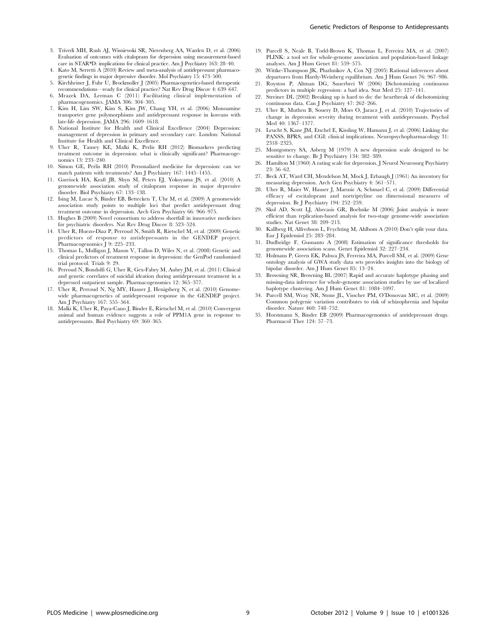- 3. Trivedi MH, Rush AJ, Wisniewski SR, Nierenberg AA, Warden D, et al. (2006) Evaluation of outcomes with citalopram for depression using measurement-based care in STAR\*D: implications for clinical practice. Am J Psychiatry 163: 28–40.
- 4. Kato M, Serretti A (2010) Review and meta-analysis of antidepressant pharmacogenetic findings in major depressive disorder. Mol Psychiatry 15: 473–500.
- 5. Kirchheiner J, Fuhr U, Brockmoller J (2005) Pharmacogenetics-based therapeutic recommendations—ready for clinical practice? Nat Rev Drug Discov 4: 639–647.
- 6. Mrazek DA, Lerman C (2011) Facilitating clinical implementation of pharmacogenomics. JAMA 306: 304–305.
- 7. Kim H, Lim SW, Kim S, Kim JW, Chang YH, et al. (2006) Monoamine transporter gene polymorphisms and antidepressant response in koreans with late-life depression. JAMA 296: 1609–1618.
- 8. National Institute for Health and Clinical Excellence (2004) Depression: management of depression in primary and secondary care. London: National Institute for Health and Clinical Excellence.
- 9. Uher R, Tansey KE, Malki K, Perlis RH (2012) Biomarkers predicting treatment outcome in depression: what is clinically significant? Pharmacogenomics 13: 233–240.
- 10. Simon GE, Perlis RH (2010) Personalized medicine for depression: can we match patients with treatments? Am J Psychiatry 167: 1445–1455.
- 11. Garriock HA, Kraft JB, Shyn SI, Peters EJ, Yokoyama JS, et al. (2010) A genomewide association study of citalopram response in major depressive disorder. Biol Psychiatry 67: 133–138.
- 12. Ising M, Lucae S, Binder EB, Bettecken T, Uhr M, et al. (2009) A genomewide association study points to multiple loci that predict antidepressant drug treatment outcome in depression. Arch Gen Psychiatry 66: 966–975.
- 13. Hughes B (2009) Novel consortium to address shortfall in innovative medicines for psychiatric disorders. Nat Rev Drug Discov 8: 523–524.
- 14. Uher R, Huezo-Diaz P, Perroud N, Smith R, Rietschel M, et al. (2009) Genetic predictors of response to antidepressants in the GENDEP project. Pharmacogenomics J 9: 225-233.
- 15. Thomas L, Mulligan J, Mason V, Tallon D, Wiles N, et al. (2008) Genetic and clinical predictors of treatment response in depression: the GenPod randomised trial protocol. Trials 9: 29.
- 16. Perroud N, Bondolfi G, Uher R, Gex-Fabry M, Aubry JM, et al. (2011) Clinical and genetic correlates of suicidal ideation during antidepressant treatment in a depressed outpatient sample. Pharmacogenomics 12: 365–377.
- 17. Uher R, Perroud N, Ng MY, Hauser J, Henigsberg N, et al. (2010) Genomewide pharmacogenetics of antidepressant response in the GENDEP project. Am J Psychiatry 167: 555–564.
- 18. Malki K, Uher R, Paya-Cano J, Binder E, Rietschel M, et al. (2010) Convergent animal and human evidence suggests a role of PPM1A gene in response to antidepressants. Biol Psychiatry 69: 360–365.
- 19. Purcell S, Neale B, Todd-Brown K, Thomas L, Ferreira MA, et al. (2007) PLINK: a tool set for whole-genome association and population-based linkage
- analyses. Am J Hum Genet 81: 559–575. 20. Wittke-Thompson JK, Pluzhnikov A, Cox NJ (2005) Rational inferences about departures from Hardy-Weinberg equilibrium. Am J Hum Genet 76: 967–986.
- 21. Royston P, Altman DG, Sauerbrei W (2006) Dichotomizing continuous predictors in multiple regression: a bad idea. Stat Med 25: 127–141.
- 22. Streiner DL (2002) Breaking up is hard to do: the heartbreak of dichotomizing continuous data. Can J Psychiatry 47: 262–266.
- 23. Uher R, Muthen B, Souery D, Mors O, Jaracz J, et al. (2010) Trajectories of change in depression severity during treatment with antidepressants. Psychol Med 40: 1367–1377.
- 24. Leucht S, Kane JM, Etschel E, Kissling W, Hamann J, et al. (2006) Linking the PANSS, BPRS, and CGI: clinical implications. Neuropsychopharmacology 31: 2318–2325.
- 25. Montgomery SA, Asberg M (1979) A new depression scale designed to be sensitive to change. Br J Psychiatry 134: 382–389.
- 26. Hamilton M (1960) A rating scale for depression. J Neurol Neurosurg Psychiatry 23: 56–62.
- 27. Beck AT, Ward CH, Mendelson M, Mock J, Erbaugh J (1961) An inventory for measuring depression. Arch Gen Psychiatry 4: 561–571.
- 28. Uher R, Maier W, Hauser J, Marusic A, Schmael C, et al. (2009) Differential efficacy of escitalopram and nortriptyline on dimensional measures of depression. Br J Psychiatry 194: 252–259.
- 29. Skol AD, Scott LJ, Abecasis GR, Boehnke M (2006) Joint analysis is more efficient than replication-based analysis for two-stage genome-wide association studies. Nat Genet 38: 209–213.
- 30. Kallberg H, Alfredsson L, Feychting M, Ahlbom A (2010) Don't split your data. Eur J Epidemiol 25: 283–284.
- 31. Dudbridge F, Gusnanto A (2008) Estimation of significance thresholds for genomewide association scans. Genet Epidemiol 32: 227–234.
- 32. Holmans P, Green EK, Pahwa JS, Ferreira MA, Purcell SM, et al. (2009) Gene ontology analysis of GWA study data sets provides insights into the biology of bipolar disorder. Am J Hum Genet 85: 13–24.
- 33. Browning SR, Browning BL (2007) Rapid and accurate haplotype phasing and missing-data inference for whole-genome association studies by use of localized haplotype clustering. Am J Hum Genet 81: 1084–1097.
- 34. Purcell SM, Wray NR, Stone JL, Visscher PM, O'Donovan MC, et al. (2009) Common polygenic variation contributes to risk of schizophrenia and bipolar disorder. Nature 460: 748–752.
- 35. Horstmann S, Binder EB (2009) Pharmacogenomics of antidepressant drugs. Pharmacol Ther 124: 57–73.